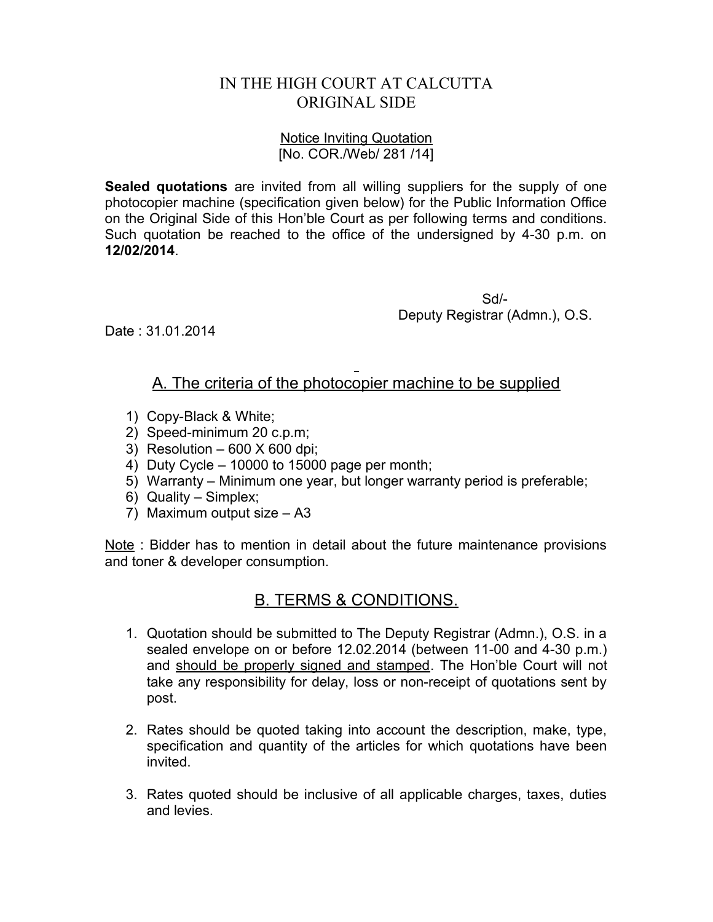## IN THE HIGH COURT AT CALCUTTA ORIGINAL SIDE

## Notice Inviting Quotation [No. COR./Web/ 281 /14]

**Sealed quotations** are invited from all willing suppliers for the supply of one photocopier machine (specification given below) for the Public Information Office on the Original Side of this Hon'ble Court as per following terms and conditions. Such quotation be reached to the office of the undersigned by 4-30 p.m. on **12/02/2014**.

> Sd/- Deputy Registrar (Admn.), O.S.

Date : 31.01.2014

## A. The criteria of the photocopier machine to be supplied

- 1) Copy-Black & White;
- 2) Speed-minimum 20 c.p.m;
- 3) Resolution  $-600$  X 600 dpi;
- 4) Duty Cycle 10000 to 15000 page per month;
- 5) Warranty Minimum one year, but longer warranty period is preferable;
- 6) Quality Simplex;
- 7) Maximum output size A3

Note : Bidder has to mention in detail about the future maintenance provisions and toner & developer consumption.

## B. TERMS & CONDITIONS.

- 1. Quotation should be submitted to The Deputy Registrar (Admn.), O.S. in a sealed envelope on or before 12.02.2014 (between 11-00 and 4-30 p.m.) and should be properly signed and stamped. The Hon'ble Court will not take any responsibility for delay, loss or non-receipt of quotations sent by post.
- 2. Rates should be quoted taking into account the description, make, type, specification and quantity of the articles for which quotations have been invited.
- 3. Rates quoted should be inclusive of all applicable charges, taxes, duties and levies.